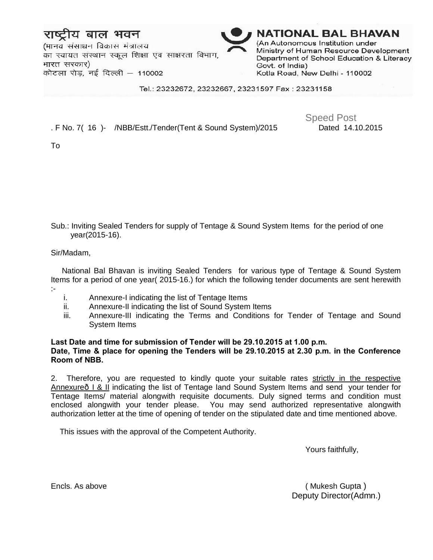# बाल भवन

(मानव संसाधन विकास मंत्रालय का स्वायत संस्थान स्कूल शिक्षा एवं साक्षरता विभाग, भारत सरकार) कोटला रोड, नई दिल्ली 110002



#### Tel.: 23232672, 23232667, 23231597 Fax: 23231158

### . F No. 7( 16 )- /NBB/Estt./Tender(Tent & Sound System)/2015 Dated 14.10.2015

Speed Post

To

Sub.: Inviting Sealed Tenders for supply of Tentage & Sound System Items for the period of one year(2015-16).

### Sir/Madam,

 National Bal Bhavan is inviting Sealed Tenders for various type of Tentage & Sound System Items for a period of one year( 2015-16.) for which the following tender documents are sent herewith :-

- i. Annexure-I indicating the list of Tentage Items
- ii. Annexure-II indicating the list of Sound System Items
- iii. Annexure-III indicating the Terms and Conditions for Tender of Tentage and Sound System Items

### **Last Date and time for submission of Tender will be 29.10.2015 at 1.00 p.m. Date, Time & place for opening the Tenders will be 29.10.2015 at 2.30 p.m. in the Conference Room of NBB.**

2. Therefore, you are requested to kindly quote your suitable rates strictly in the respective Annexure—I & II indicating the list of Tentage Iand Sound System Items and send your tender for Tentage Items/ material alongwith requisite documents. Duly signed terms and condition must enclosed alongwith your tender please. You may send authorized representative alongwith authorization letter at the time of opening of tender on the stipulated date and time mentioned above.

This issues with the approval of the Competent Authority.

Yours faithfully,

Encls. As above ( Mukesh Gupta ) Deputy Director(Admn.)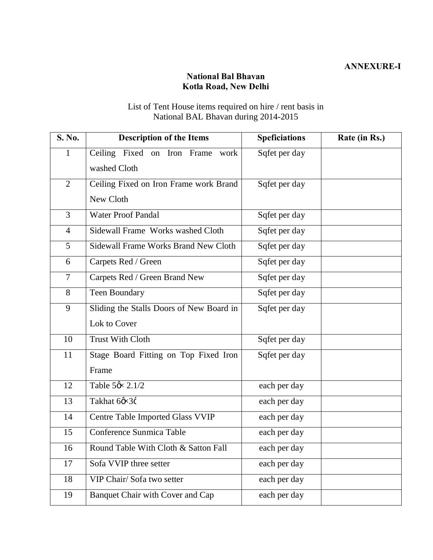## **National Bal Bhavan Kotla Road, New Delhi**

## List of Tent House items required on hire / rent basis in National BAL Bhavan during 2014-2015

| S. No.         | <b>Description of the Items</b>          | <b>Speficiations</b> | Rate (in Rs.) |
|----------------|------------------------------------------|----------------------|---------------|
| $\mathbf{I}$   | Ceiling Fixed on Iron Frame<br>work      | Sqfet per day        |               |
|                | washed Cloth                             |                      |               |
| $\overline{2}$ | Ceiling Fixed on Iron Frame work Brand   | Sqfet per day        |               |
|                | New Cloth                                |                      |               |
| $\overline{3}$ | <b>Water Proof Pandal</b>                | Sqfet per day        |               |
| $\overline{4}$ | Sidewall Frame Works washed Cloth        | Sqfet per day        |               |
| 5              | Sidewall Frame Works Brand New Cloth     | Sqfet per day        |               |
| 6              | Carpets Red / Green                      | Sqfet per day        |               |
| $\tau$         | Carpets Red / Green Brand New            | Sqfet per day        |               |
| 8              | Teen Boundary                            | Sqfet per day        |               |
| 9              | Sliding the Stalls Doors of New Board in | Sqfet per day        |               |
|                | Lok to Cover                             |                      |               |
| 10             | <b>Trust With Cloth</b>                  | Sqfet per day        |               |
| 11             | Stage Board Fitting on Top Fixed Iron    | Sqfet per day        |               |
|                | Frame                                    |                      |               |
| 12             | Table 5ø × 2.1/2                         | each per day         |               |
| 13             | Takhat 6ø×3¢                             | each per day         |               |
| 14             | Centre Table Imported Glass VVIP         | each per day         |               |
| 15             | Conference Sunmica Table                 | each per day         |               |
| 16             | Round Table With Cloth & Satton Fall     | each per day         |               |
| 17             | Sofa VVIP three setter                   | each per day         |               |
| 18             | VIP Chair/ Sofa two setter               | each per day         |               |
| 19             | Banquet Chair with Cover and Cap         | each per day         |               |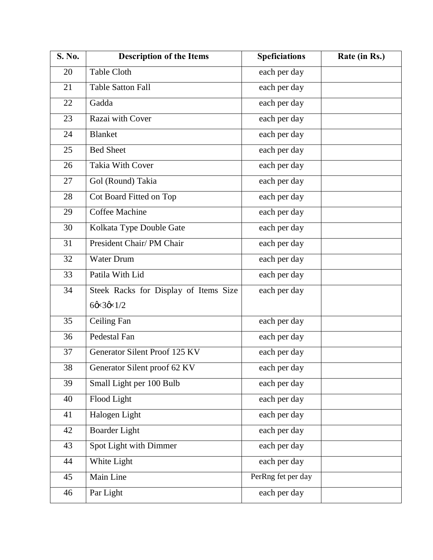| S. No. | <b>Description of the Items</b>       | <b>Speficiations</b> | Rate (in Rs.) |
|--------|---------------------------------------|----------------------|---------------|
| 20     | <b>Table Cloth</b>                    | each per day         |               |
| 21     | <b>Table Satton Fall</b>              | each per day         |               |
| 22     | Gadda                                 | each per day         |               |
| 23     | Razai with Cover                      | each per day         |               |
| 24     | <b>Blanket</b>                        | each per day         |               |
| 25     | <b>Bed Sheet</b>                      | each per day         |               |
| 26     | Takia With Cover                      | each per day         |               |
| 27     | Gol (Round) Takia                     | each per day         |               |
| 28     | Cot Board Fitted on Top               | each per day         |               |
| 29     | Coffee Machine                        | each per day         |               |
| 30     | Kolkata Type Double Gate              | each per day         |               |
| 31     | President Chair/PM Chair              | each per day         |               |
| 32     | <b>Water Drum</b>                     | each per day         |               |
| 33     | Patila With Lid                       | each per day         |               |
| 34     | Steek Racks for Display of Items Size | each per day         |               |
|        | $60 \times 30 \times 1/2$             |                      |               |
| 35     | <b>Ceiling Fan</b>                    | each per day         |               |
| 36     | Pedestal Fan                          | each per day         |               |
| 37     | Generator Silent Proof 125 KV         | each per day         |               |
| 38     | Generator Silent proof 62 KV          | each per day         |               |
| 39     | Small Light per 100 Bulb              | each per day         |               |
| 40     | Flood Light                           | each per day         |               |
| 41     | Halogen Light                         | each per day         |               |
| 42     | <b>Boarder Light</b>                  | each per day         |               |
| 43     | Spot Light with Dimmer                | each per day         |               |
| 44     | White Light                           | each per day         |               |
| 45     | Main Line                             | PerRng fet per day   |               |
| 46     | Par Light                             | each per day         |               |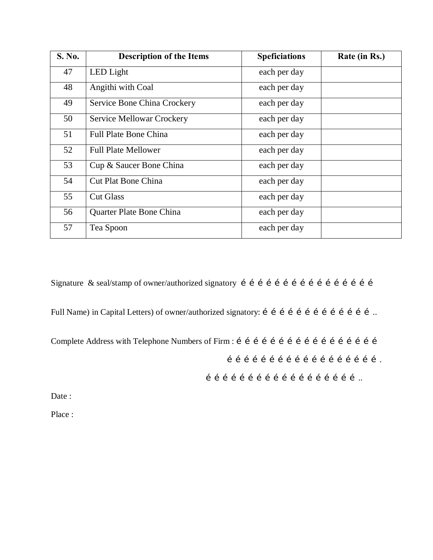| S. No. | <b>Description of the Items</b> | <b>Speficiations</b> | Rate (in Rs.) |
|--------|---------------------------------|----------------------|---------------|
| 47     | LED Light                       | each per day         |               |
| 48     | Angithi with Coal               | each per day         |               |
| 49     | Service Bone China Crockery     | each per day         |               |
| 50     | Service Mellowar Crockery       | each per day         |               |
| 51     | <b>Full Plate Bone China</b>    | each per day         |               |
| 52     | <b>Full Plate Mellower</b>      | each per day         |               |
| 53     | Cup & Saucer Bone China         | each per day         |               |
| 54     | <b>Cut Plat Bone China</b>      | each per day         |               |
| 55     | <b>Cut Glass</b>                | each per day         |               |
| 56     | Quarter Plate Bone China        | each per day         |               |
| 57     | Tea Spoon                       | each per day         |               |

Signature & seal/stamp of owner/authorized signatory …………………………………………

Full Name) in Capital Letters) of owner/authorized signatory: í í í í í í í í í í í í í í í í...

Complete Address with Telephone Numbers of Firm : ……………………………………………

……………………………………………….

………………………………………………..

Date:

Place :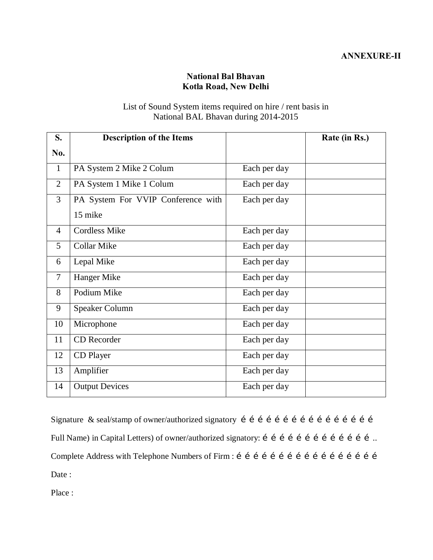## **National Bal Bhavan Kotla Road, New Delhi**

## List of Sound System items required on hire / rent basis in National BAL Bhavan during 2014-2015

| S.             | <b>Description of the Items</b>    |              | Rate (in Rs.) |
|----------------|------------------------------------|--------------|---------------|
| No.            |                                    |              |               |
| $\mathbf{1}$   | PA System 2 Mike 2 Colum           | Each per day |               |
| $\overline{2}$ | PA System 1 Mike 1 Colum           | Each per day |               |
| 3              | PA System For VVIP Conference with | Each per day |               |
|                | 15 mike                            |              |               |
| $\overline{4}$ | <b>Cordless Mike</b>               | Each per day |               |
| 5              | <b>Collar Mike</b>                 | Each per day |               |
| 6              | Lepal Mike                         | Each per day |               |
| $\overline{7}$ | Hanger Mike                        | Each per day |               |
| 8              | Podium Mike                        | Each per day |               |
| 9              | Speaker Column                     | Each per day |               |
| 10             | Microphone                         | Each per day |               |
| 11             | CD Recorder                        | Each per day |               |
| 12             | CD Player                          | Each per day |               |
| 13             | Amplifier                          | Each per day |               |
| 14             | <b>Output Devices</b>              | Each per day |               |

Signature & seal/stamp of owner/authorized signatory ………………………………………… Full Name) in Capital Letters) of owner/authorized signatory: í í í í í í í í í í í í í í í í... Complete Address with Telephone Numbers of Firm : …………………………………………… Date :

Place :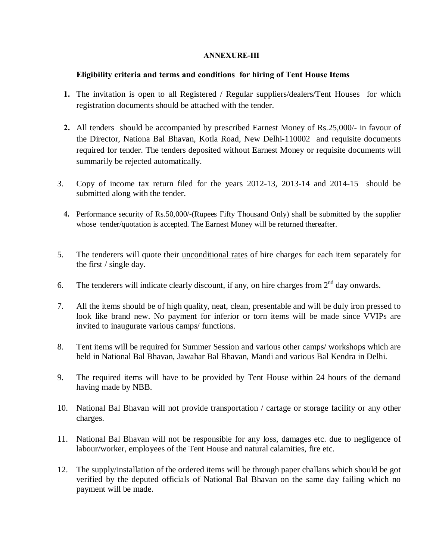### **ANNEXURE-III**

### **Eligibility criteria and terms and conditions for hiring of Tent House Items**

- **1.** The invitation is open to all Registered / Regular suppliers/dealers/Tent Houses for which registration documents should be attached with the tender.
- **2.** All tenders should be accompanied by prescribed Earnest Money of Rs.25,000/- in favour of the Director, Nationa Bal Bhavan, Kotla Road, New Delhi-110002 and requisite documents required for tender. The tenders deposited without Earnest Money or requisite documents will summarily be rejected automatically.
- 3. Copy of income tax return filed for the years 2012-13, 2013-14 and 2014-15 should be submitted along with the tender.
	- **4.** Performance security of Rs.50,000/-(Rupees Fifty Thousand Only) shall be submitted by the supplier whose tender/quotation is accepted. The Earnest Money will be returned thereafter.
- 5. The tenderers will quote their unconditional rates of hire charges for each item separately for the first / single day.
- 6. The tenderers will indicate clearly discount, if any, on hire charges from  $2<sup>nd</sup>$  day onwards.
- 7. All the items should be of high quality, neat, clean, presentable and will be duly iron pressed to look like brand new. No payment for inferior or torn items will be made since VVIPs are invited to inaugurate various camps/ functions.
- 8. Tent items will be required for Summer Session and various other camps/ workshops which are held in National Bal Bhavan, Jawahar Bal Bhavan, Mandi and various Bal Kendra in Delhi.
- 9. The required items will have to be provided by Tent House within 24 hours of the demand having made by NBB.
- 10. National Bal Bhavan will not provide transportation / cartage or storage facility or any other charges.
- 11. National Bal Bhavan will not be responsible for any loss, damages etc. due to negligence of labour/worker, employees of the Tent House and natural calamities, fire etc.
- 12. The supply/installation of the ordered items will be through paper challans which should be got verified by the deputed officials of National Bal Bhavan on the same day failing which no payment will be made.